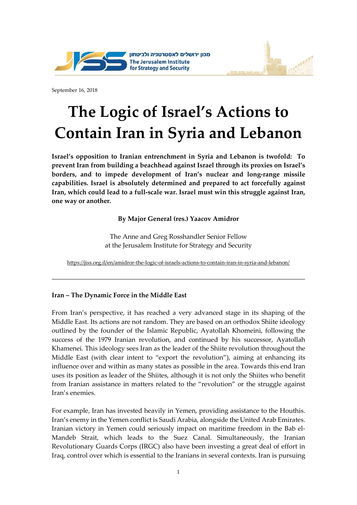

September 16, 2018

# **The Logic of Israel's Actions to Contain Iran in Syria and Lebanon**

**Israel's opposition to Iranian entrenchment in Syria and Lebanon is twofold: To prevent Iran from building a beachhead against Israel through its proxies on Israel's borders, and to impede development of Iran's nuclear and long-range missile capabilities. Israel is absolutely determined and prepared to act forcefully against Iran, which could lead to a full-scale war. Israel must win this struggle against Iran, one way or another.**

**By Major General (res.) Yaacov Amidror**

The Anne and Greg Rosshandler Senior Fellow at the Jerusalem Institute for Strategy and Security

<https://jiss.org.il/en/amidror-the-logic-of-israels-actions-to-contain-iran-in-syria-and-lebanon/>

#### **Iran – The Dynamic Force in the Middle East**

From Iran's perspective, it has reached a very advanced stage in its shaping of the Middle East. Its actions are not random. They are based on an orthodox Shiite ideology outlined by the founder of the Islamic Republic, Ayatollah Khomeini, following the success of the 1979 Iranian revolution, and continued by his successor, Ayatollah Khamenei. This ideology sees Iran as the leader of the Shiite revolution throughout the Middle East (with clear intent to "export the revolution"), aiming at enhancing its influence over and within as many states as possible in the area. Towards this end Iran uses its position as leader of the Shiites, although it is not only the Shiites who benefit from Iranian assistance in matters related to the "revolution" or the struggle against Iran's enemies.

For example, Iran has invested heavily in Yemen, providing assistance to the Houthis. Iran's enemy in the Yemen conflict is Saudi Arabia, alongside the United Arab Emirates. Iranian victory in Yemen could seriously impact on maritime freedom in the Bab el-Mandeb Strait, which leads to the Suez Canal. Simultaneously, the Iranian Revolutionary Guards Corps (IRGC) also have been investing a great deal of effort in Iraq, control over which is essential to the Iranians in several contexts. Iran is pursuing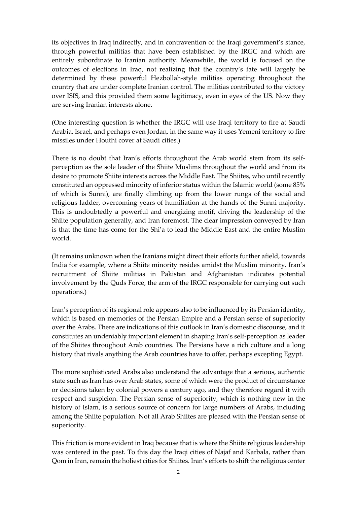its objectives in Iraq indirectly, and in contravention of the Iraqi government's stance, through powerful militias that have been established by the IRGC and which are entirely subordinate to Iranian authority. Meanwhile, the world is focused on the outcomes of elections in Iraq, not realizing that the country's fate will largely be determined by these powerful Hezbollah-style militias operating throughout the country that are under complete Iranian control. The militias contributed to the victory over ISIS, and this provided them some legitimacy, even in eyes of the US. Now they are serving Iranian interests alone.

(One interesting question is whether the IRGC will use Iraqi territory to fire at Saudi Arabia, Israel, and perhaps even Jordan, in the same way it uses Yemeni territory to fire missiles under Houthi cover at Saudi cities.)

There is no doubt that Iran's efforts throughout the Arab world stem from its selfperception as the sole leader of the Shiite Muslims throughout the world and from its desire to promote Shiite interests across the Middle East. The Shiites, who until recently constituted an oppressed minority of inferior status within the Islamic world (some 85% of which is Sunni), are finally climbing up from the lower rungs of the social and religious ladder, overcoming years of humiliation at the hands of the Sunni majority. This is undoubtedly a powerful and energizing motif, driving the leadership of the Shiite population generally, and Iran foremost. The clear impression conveyed by Iran is that the time has come for the Shi'a to lead the Middle East and the entire Muslim world.

(It remains unknown when the Iranians might direct their efforts further afield, towards India for example, where a Shiite minority resides amidst the Muslim minority. Iran's recruitment of Shiite militias in Pakistan and Afghanistan indicates potential involvement by the Quds Force, the arm of the IRGC responsible for carrying out such operations.)

Iran's perception of its regional role appears also to be influenced by its Persian identity, which is based on memories of the Persian Empire and a Persian sense of superiority over the Arabs. There are indications of this outlook in Iran's domestic discourse, and it constitutes an undeniably important element in shaping Iran's self-perception as leader of the Shiites throughout Arab countries. The Persians have a rich culture and a long history that rivals anything the Arab countries have to offer, perhaps excepting Egypt.

The more sophisticated Arabs also understand the advantage that a serious, authentic state such as Iran has over Arab states, some of which were the product of circumstance or decisions taken by colonial powers a century ago, and they therefore regard it with respect and suspicion. The Persian sense of superiority, which is nothing new in the history of Islam, is a serious source of concern for large numbers of Arabs, including among the Shiite population. Not all Arab Shiites are pleased with the Persian sense of superiority.

This friction is more evident in Iraq because that is where the Shiite religious leadership was centered in the past. To this day the Iraqi cities of Najaf and Karbala, rather than Qom in Iran, remain the holiest cities for Shiites. Iran's efforts to shift the religious center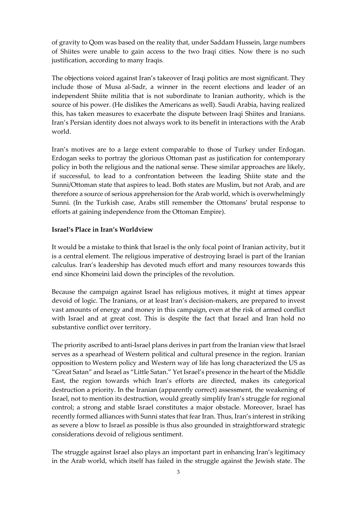of gravity to Qom was based on the reality that, under Saddam Hussein, large numbers of Shiites were unable to gain access to the two Iraqi cities. Now there is no such justification, according to many Iraqis.

The objections voiced against Iran's takeover of Iraqi politics are most significant. They include those of Musa al-Sadr, a winner in the recent elections and leader of an independent Shiite militia that is not subordinate to Iranian authority, which is the source of his power. (He dislikes the Americans as well). Saudi Arabia, having realized this, has taken measures to exacerbate the dispute between Iraqi Shiites and Iranians. Iran's Persian identity does not always work to its benefit in interactions with the Arab world.

Iran's motives are to a large extent comparable to those of Turkey under Erdogan. Erdogan seeks to portray the glorious Ottoman past as justification for contemporary policy in both the religious and the national sense. These similar approaches are likely, if successful, to lead to a confrontation between the leading Shiite state and the Sunni/Ottoman state that aspires to lead. Both states are Muslim, but not Arab, and are therefore a source of serious apprehension for the Arab world, which is overwhelmingly Sunni. (In the Turkish case, Arabs still remember the Ottomans' brutal response to efforts at gaining independence from the Ottoman Empire).

#### **Israel's Place in Iran's Worldview**

It would be a mistake to think that Israel is the only focal point of Iranian activity, but it is a central element. The religious imperative of destroying Israel is part of the Iranian calculus. Iran's leadership has devoted much effort and many resources towards this end since Khomeini laid down the principles of the revolution.

Because the campaign against Israel has religious motives, it might at times appear devoid of logic. The Iranians, or at least Iran's decision-makers, are prepared to invest vast amounts of energy and money in this campaign, even at the risk of armed conflict with Israel and at great cost. This is despite the fact that Israel and Iran hold no substantive conflict over territory.

The priority ascribed to anti-Israel plans derives in part from the Iranian view that Israel serves as a spearhead of Western political and cultural presence in the region. Iranian opposition to Western policy and Western way of life has long characterized the US as "Great Satan" and Israel as "Little Satan." Yet Israel's presence in the heart of the Middle East, the region towards which Iran's efforts are directed, makes its categorical destruction a priority. In the Iranian (apparently correct) assessment, the weakening of Israel, not to mention its destruction, would greatly simplify Iran's struggle for regional control; a strong and stable Israel constitutes a major obstacle. Moreover, Israel has recently formed alliances with Sunni states that fear Iran. Thus, Iran's interest in striking as severe a blow to Israel as possible is thus also grounded in straightforward strategic considerations devoid of religious sentiment.

The struggle against Israel also plays an important part in enhancing Iran's legitimacy in the Arab world, which itself has failed in the struggle against the Jewish state. The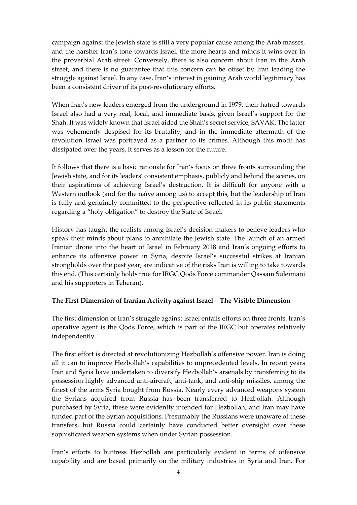campaign against the Jewish state is still a very popular cause among the Arab masses, and the harsher Iran's tone towards Israel, the more hearts and minds it wins over in the proverbial Arab street. Conversely, there is also concern about Iran in the Arab street, and there is no guarantee that this concern can be offset by Iran leading the struggle against Israel. In any case, Iran's interest in gaining Arab world legitimacy has been a consistent driver of its post-revolutionary efforts.

When Iran's new leaders emerged from the underground in 1979, their hatred towards Israel also had a very real, local, and immediate basis, given Israel's support for the Shah. It was widely known that Israel aided the Shah's secret service, SAVAK. The latter was vehemently despised for its brutality, and in the immediate aftermath of the revolution Israel was portrayed as a partner to its crimes. Although this motif has dissipated over the years, it serves as a lesson for the future.

It follows that there is a basic rationale for Iran's focus on three fronts surrounding the Jewish state, and for its leaders' consistent emphasis, publicly and behind the scenes, on their aspirations of achieving Israel's destruction. It is difficult for anyone with a Western outlook (and for the naïve among us) to accept this, but the leadership of Iran is fully and genuinely committed to the perspective reflected in its public statements regarding a "holy obligation" to destroy the State of Israel.

History has taught the realists among Israel's decision-makers to believe leaders who speak their minds about plans to annihilate the Jewish state. The launch of an armed Iranian drone into the heart of Israel in February 2018 and Iran's ongoing efforts to enhance its offensive power in Syria, despite Israel's successful strikes at Iranian strongholds over the past year, are indicative of the risks Iran is willing to take towards this end. (This certainly holds true for IRGC Qods Force commander Qassam Suleimani and his supporters in Teheran).

#### **The First Dimension of Iranian Activity against Israel – The Visible Dimension**

The first dimension of Iran's struggle against Israel entails efforts on three fronts. Iran's operative agent is the Qods Force, which is part of the IRGC but operates relatively independently.

The first effort is directed at revolutionizing Hezbollah's offensive power. Iran is doing all it can to improve Hezbollah's capabilities to unprecedented levels. In recent years Iran and Syria have undertaken to diversify Hezbollah's arsenals by transferring to its possession highly advanced anti-aircraft, anti-tank, and anti-ship missiles, among the finest of the arms Syria bought from Russia. Nearly every advanced weapons system the Syrians acquired from Russia has been transferred to Hezbollah. Although purchased by Syria, these were evidently intended for Hezbollah, and Iran may have funded part of the Syrian acquisitions. Presumably the Russians were unaware of these transfers, but Russia could certainly have conducted better oversight over these sophisticated weapon systems when under Syrian possession.

Iran's efforts to buttress Hezbollah are particularly evident in terms of offensive capability and are based primarily on the military industries in Syria and Iran. For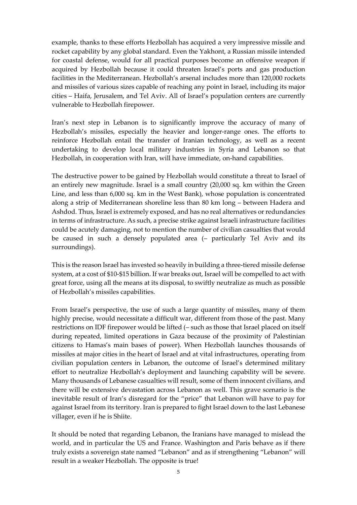example, thanks to these efforts Hezbollah has acquired a very impressive missile and rocket capability by any global standard. Even the Yakhont, a Russian missile intended for coastal defense, would for all practical purposes become an offensive weapon if acquired by Hezbollah because it could threaten Israel's ports and gas production facilities in the Mediterranean. Hezbollah's arsenal includes more than 120,000 rockets and missiles of various sizes capable of reaching any point in Israel, including its major cities – Haifa, Jerusalem, and Tel Aviv. All of Israel's population centers are currently vulnerable to Hezbollah firepower.

Iran's next step in Lebanon is to significantly improve the accuracy of many of Hezbollah's missiles, especially the heavier and longer-range ones. The efforts to reinforce Hezbollah entail the transfer of Iranian technology, as well as a recent undertaking to develop local military industries in Syria and Lebanon so that Hezbollah, in cooperation with Iran, will have immediate, on-hand capabilities.

The destructive power to be gained by Hezbollah would constitute a threat to Israel of an entirely new magnitude. Israel is a small country (20,000 sq. km within the Green Line, and less than 6,000 sq. km in the West Bank), whose population is concentrated along a strip of Mediterranean shoreline less than 80 km long – between Hadera and Ashdod. Thus, Israel is extremely exposed, and has no real alternatives or redundancies in terms of infrastructure. As such, a precise strike against Israeli infrastructure facilities could be acutely damaging, not to mention the number of civilian casualties that would be caused in such a densely populated area (– particularly Tel Aviv and its surroundings).

This is the reason Israel has invested so heavily in building a three-tiered missile defense system, at a cost of \$10-\$15 billion. If war breaks out, Israel will be compelled to act with great force, using all the means at its disposal, to swiftly neutralize as much as possible of Hezbollah's missiles capabilities.

From Israel's perspective, the use of such a large quantity of missiles, many of them highly precise, would necessitate a difficult war, different from those of the past. Many restrictions on IDF firepower would be lifted (– such as those that Israel placed on itself during repeated, limited operations in Gaza because of the proximity of Palestinian citizens to Hamas's main bases of power). When Hezbollah launches thousands of missiles at major cities in the heart of Israel and at vital infrastructures, operating from civilian population centers in Lebanon, the outcome of Israel's determined military effort to neutralize Hezbollah's deployment and launching capability will be severe. Many thousands of Lebanese casualties will result, some of them innocent civilians, and there will be extensive devastation across Lebanon as well. This grave scenario is the inevitable result of Iran's disregard for the "price" that Lebanon will have to pay for against Israel from its territory. Iran is prepared to fight Israel down to the last Lebanese villager, even if he is Shiite.

It should be noted that regarding Lebanon, the Iranians have managed to mislead the world, and in particular the US and France. Washington and Paris behave as if there truly exists a sovereign state named "Lebanon" and as if strengthening "Lebanon" will result in a weaker Hezbollah. The opposite is true!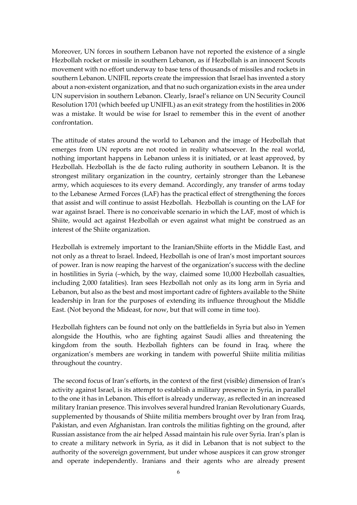Moreover, UN forces in southern Lebanon have not reported the existence of a single Hezbollah rocket or missile in southern Lebanon, as if Hezbollah is an innocent Scouts movement with no effort underway to base tens of thousands of missiles and rockets in southern Lebanon. UNIFIL reports create the impression that Israel has invented a story about a non-existent organization, and that no such organization exists in the area under UN supervision in southern Lebanon. Clearly, Israel's reliance on UN Security Council Resolution 1701 (which beefed up UNIFIL) as an exit strategy from the hostilities in 2006 was a mistake. It would be wise for Israel to remember this in the event of another confrontation.

The attitude of states around the world to Lebanon and the image of Hezbollah that emerges from UN reports are not rooted in reality whatsoever. In the real world, nothing important happens in Lebanon unless it is initiated, or at least approved, by Hezbollah. Hezbollah is the de facto ruling authority in southern Lebanon. It is the strongest military organization in the country, certainly stronger than the Lebanese army, which acquiesces to its every demand. Accordingly, any transfer of arms today to the Lebanese Armed Forces (LAF) has the practical effect of strengthening the forces that assist and will continue to assist Hezbollah. Hezbollah is counting on the LAF for war against Israel. There is no conceivable scenario in which the LAF, most of which is Shiite, would act against Hezbollah or even against what might be construed as an interest of the Shiite organization.

Hezbollah is extremely important to the Iranian/Shiite efforts in the Middle East, and not only as a threat to Israel. Indeed, Hezbollah is one of Iran's most important sources of power. Iran is now reaping the harvest of the organization's success with the decline in hostilities in Syria (–which, by the way, claimed some 10,000 Hezbollah casualties, including 2,000 fatalities). Iran sees Hezbollah not only as its long arm in Syria and Lebanon, but also as the best and most important cadre of fighters available to the Shiite leadership in Iran for the purposes of extending its influence throughout the Middle East. (Not beyond the Mideast, for now, but that will come in time too).

Hezbollah fighters can be found not only on the battlefields in Syria but also in Yemen alongside the Houthis, who are fighting against Saudi allies and threatening the kingdom from the south. Hezbollah fighters can be found in Iraq, where the organization's members are working in tandem with powerful Shiite militia militias throughout the country.

The second focus of Iran's efforts, in the context of the first (visible) dimension of Iran's activity against Israel, is its attempt to establish a military presence in Syria, in parallel to the one it has in Lebanon. This effort is already underway, as reflected in an increased military Iranian presence. This involves several hundred Iranian Revolutionary Guards, supplemented by thousands of Shiite militia members brought over by Iran from Iraq, Pakistan, and even Afghanistan. Iran controls the militias fighting on the ground, after Russian assistance from the air helped Assad maintain his rule over Syria. Iran's plan is to create a military network in Syria, as it did in Lebanon that is not subject to the authority of the sovereign government, but under whose auspices it can grow stronger and operate independently. Iranians and their agents who are already present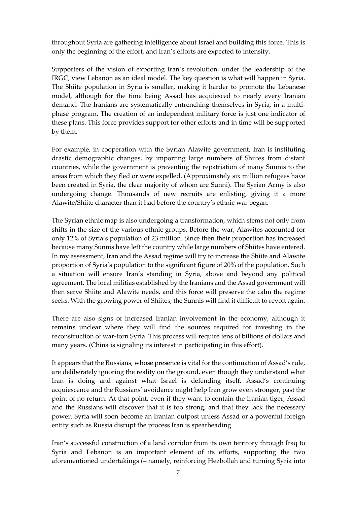throughout Syria are gathering intelligence about Israel and building this force. This is only the beginning of the effort, and Iran's efforts are expected to intensify.

Supporters of the vision of exporting Iran's revolution, under the leadership of the IRGC, view Lebanon as an ideal model. The key question is what will happen in Syria. The Shiite population in Syria is smaller, making it harder to promote the Lebanese model, although for the time being Assad has acquiesced to nearly every Iranian demand. The Iranians are systematically entrenching themselves in Syria, in a multiphase program. The creation of an independent military force is just one indicator of these plans. This force provides support for other efforts and in time will be supported by them.

For example, in cooperation with the Syrian Alawite government, Iran is instituting drastic demographic changes, by importing large numbers of Shiites from distant countries, while the government is preventing the repatriation of many Sunnis to the areas from which they fled or were expelled. (Approximately six million refugees have been created in Syria, the clear majority of whom are Sunni). The Syrian Army is also undergoing change. Thousands of new recruits are enlisting, giving it a more Alawite/Shiite character than it had before the country's ethnic war began.

The Syrian ethnic map is also undergoing a transformation, which stems not only from shifts in the size of the various ethnic groups. Before the war, Alawites accounted for only 12% of Syria's population of 23 million. Since then their proportion has increased because many Sunnis have left the country while large numbers of Shiites have entered. In my assessment, Iran and the Assad regime will try to increase the Shiite and Alawite proportion of Syria's population to the significant figure of 20% of the population. Such a situation will ensure Iran's standing in Syria, above and beyond any political agreement. The local militias established by the Iranians and the Assad government will then serve Shiite and Alawite needs, and this force will preserve the calm the regime seeks. With the growing power of Shiites, the Sunnis will find it difficult to revolt again.

There are also signs of increased Iranian involvement in the economy, although it remains unclear where they will find the sources required for investing in the reconstruction of war-torn Syria. This process will require tens of billions of dollars and many years. (China is signaling its interest in participating in this effort).

It appears that the Russians, whose presence is vital for the continuation of Assad's rule, are deliberately ignoring the reality on the ground, even though they understand what Iran is doing and against what Israel is defending itself. Assad's continuing acquiescence and the Russians' avoidance might help Iran grow even stronger, past the point of no return. At that point, even if they want to contain the Iranian tiger, Assad and the Russians will discover that it is too strong, and that they lack the necessary power. Syria will soon become an Iranian outpost unless Assad or a powerful foreign entity such as Russia disrupt the process Iran is spearheading.

Iran's successful construction of a land corridor from its own territory through Iraq to Syria and Lebanon is an important element of its efforts, supporting the two aforementioned undertakings (– namely, reinforcing Hezbollah and turning Syria into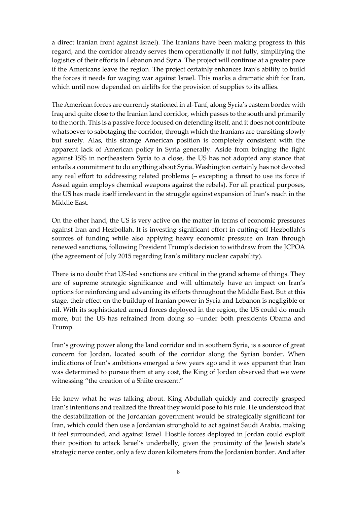a direct Iranian front against Israel). The Iranians have been making progress in this regard, and the corridor already serves them operationally if not fully, simplifying the logistics of their efforts in Lebanon and Syria. The project will continue at a greater pace if the Americans leave the region. The project certainly enhances Iran's ability to build the forces it needs for waging war against Israel. This marks a dramatic shift for Iran, which until now depended on airlifts for the provision of supplies to its allies.

The American forces are currently stationed in al-Tanf, along Syria's eastern border with Iraq and quite close to the Iranian land corridor, which passes to the south and primarily to the north. This is a passive force focused on defending itself, and it does not contribute whatsoever to sabotaging the corridor, through which the Iranians are transiting slowly but surely. Alas, this strange American position is completely consistent with the apparent lack of American policy in Syria generally. Aside from bringing the fight against ISIS in northeastern Syria to a close, the US has not adopted any stance that entails a commitment to do anything about Syria. Washington certainly has not devoted any real effort to addressing related problems (– excepting a threat to use its force if Assad again employs chemical weapons against the rebels). For all practical purposes, the US has made itself irrelevant in the struggle against expansion of Iran's reach in the Middle East.

On the other hand, the US is very active on the matter in terms of economic pressures against Iran and Hezbollah. It is investing significant effort in cutting-off Hezbollah's sources of funding while also applying heavy economic pressure on Iran through renewed sanctions, following President Trump's decision to withdraw from the JCPOA (the agreement of July 2015 regarding Iran's military nuclear capability).

There is no doubt that US-led sanctions are critical in the grand scheme of things. They are of supreme strategic significance and will ultimately have an impact on Iran's options for reinforcing and advancing its efforts throughout the Middle East. But at this stage, their effect on the buildup of Iranian power in Syria and Lebanon is negligible or nil. With its sophisticated armed forces deployed in the region, the US could do much more, but the US has refrained from doing so –under both presidents Obama and Trump.

Iran's growing power along the land corridor and in southern Syria, is a source of great concern for Jordan, located south of the corridor along the Syrian border. When indications of Iran's ambitions emerged a few years ago and it was apparent that Iran was determined to pursue them at any cost, the King of Jordan observed that we were witnessing "the creation of a Shiite crescent."

He knew what he was talking about. King Abdullah quickly and correctly grasped Iran's intentions and realized the threat they would pose to his rule. He understood that the destabilization of the Jordanian government would be strategically significant for Iran, which could then use a Jordanian stronghold to act against Saudi Arabia, making it feel surrounded, and against Israel. Hostile forces deployed in Jordan could exploit their position to attack Israel's underbelly, given the proximity of the Jewish state's strategic nerve center, only a few dozen kilometers from the Jordanian border. And after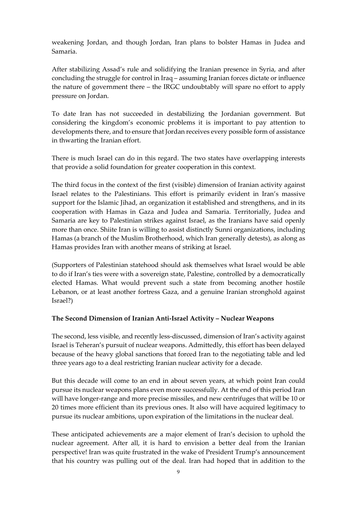weakening Jordan, and though Jordan, Iran plans to bolster Hamas in Judea and Samaria.

After stabilizing Assad's rule and solidifying the Iranian presence in Syria, and after concluding the struggle for control in Iraq – assuming Iranian forces dictate or influence the nature of government there – the IRGC undoubtably will spare no effort to apply pressure on Jordan.

To date Iran has not succeeded in destabilizing the Jordanian government. But considering the kingdom's economic problems it is important to pay attention to developments there, and to ensure that Jordan receives every possible form of assistance in thwarting the Iranian effort.

There is much Israel can do in this regard. The two states have overlapping interests that provide a solid foundation for greater cooperation in this context.

The third focus in the context of the first (visible) dimension of Iranian activity against Israel relates to the Palestinians. This effort is primarily evident in Iran's massive support for the Islamic Jihad, an organization it established and strengthens, and in its cooperation with Hamas in Gaza and Judea and Samaria. Territorially, Judea and Samaria are key to Palestinian strikes against Israel, as the Iranians have said openly more than once. Shiite Iran is willing to assist distinctly Sunni organizations, including Hamas (a branch of the Muslim Brotherhood, which Iran generally detests), as along as Hamas provides Iran with another means of striking at Israel.

(Supporters of Palestinian statehood should ask themselves what Israel would be able to do if Iran's ties were with a sovereign state, Palestine, controlled by a democratically elected Hamas. What would prevent such a state from becoming another hostile Lebanon, or at least another fortress Gaza, and a genuine Iranian stronghold against Israel?)

#### **The Second Dimension of Iranian Anti-Israel Activity – Nuclear Weapons**

The second, less visible, and recently less-discussed, dimension of Iran's activity against Israel is Teheran's pursuit of nuclear weapons. Admittedly, this effort has been delayed because of the heavy global sanctions that forced Iran to the negotiating table and led three years ago to a deal restricting Iranian nuclear activity for a decade.

But this decade will come to an end in about seven years, at which point Iran could pursue its nuclear weapons plans even more successfully. At the end of this period Iran will have longer-range and more precise missiles, and new centrifuges that will be 10 or 20 times more efficient than its previous ones. It also will have acquired legitimacy to pursue its nuclear ambitions, upon expiration of the limitations in the nuclear deal.

These anticipated achievements are a major element of Iran's decision to uphold the nuclear agreement. After all, it is hard to envision a better deal from the Iranian perspective! Iran was quite frustrated in the wake of President Trump's announcement that his country was pulling out of the deal. Iran had hoped that in addition to the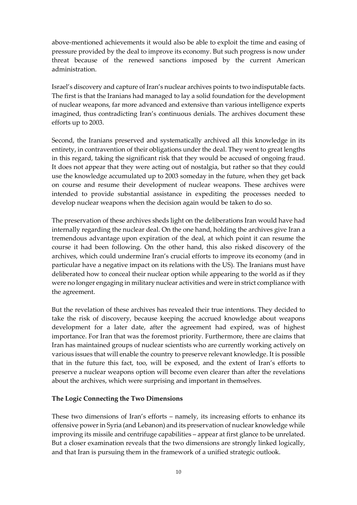above-mentioned achievements it would also be able to exploit the time and easing of pressure provided by the deal to improve its economy. But such progress is now under threat because of the renewed sanctions imposed by the current American administration.

Israel's discovery and capture of Iran's nuclear archives points to two indisputable facts. The first is that the Iranians had managed to lay a solid foundation for the development of nuclear weapons, far more advanced and extensive than various intelligence experts imagined, thus contradicting Iran's continuous denials. The archives document these efforts up to 2003.

Second, the Iranians preserved and systematically archived all this knowledge in its entirety, in contravention of their obligations under the deal. They went to great lengths in this regard, taking the significant risk that they would be accused of ongoing fraud. It does not appear that they were acting out of nostalgia, but rather so that they could use the knowledge accumulated up to 2003 someday in the future, when they get back on course and resume their development of nuclear weapons. These archives were intended to provide substantial assistance in expediting the processes needed to develop nuclear weapons when the decision again would be taken to do so.

The preservation of these archives sheds light on the deliberations Iran would have had internally regarding the nuclear deal. On the one hand, holding the archives give Iran a tremendous advantage upon expiration of the deal, at which point it can resume the course it had been following. On the other hand, this also risked discovery of the archives, which could undermine Iran's crucial efforts to improve its economy (and in particular have a negative impact on its relations with the US). The Iranians must have deliberated how to conceal their nuclear option while appearing to the world as if they were no longer engaging in military nuclear activities and were in strict compliance with the agreement.

But the revelation of these archives has revealed their true intentions. They decided to take the risk of discovery, because keeping the accrued knowledge about weapons development for a later date, after the agreement had expired, was of highest importance. For Iran that was the foremost priority. Furthermore, there are claims that Iran has maintained groups of nuclear scientists who are currently working actively on various issues that will enable the country to preserve relevant knowledge. It is possible that in the future this fact, too, will be exposed, and the extent of Iran's efforts to preserve a nuclear weapons option will become even clearer than after the revelations about the archives, which were surprising and important in themselves.

#### **The Logic Connecting the Two Dimensions**

These two dimensions of Iran's efforts – namely, its increasing efforts to enhance its offensive powerin Syria (and Lebanon) and its preservation of nuclear knowledge while improving its missile and centrifuge capabilities – appear at first glance to be unrelated. But a closer examination reveals that the two dimensions are strongly linked logically, and that Iran is pursuing them in the framework of a unified strategic outlook.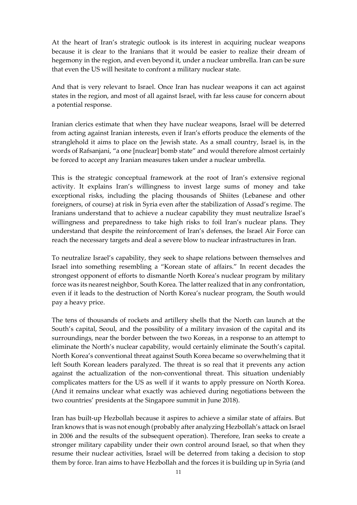At the heart of Iran's strategic outlook is its interest in acquiring nuclear weapons because it is clear to the Iranians that it would be easier to realize their dream of hegemony in the region, and even beyond it, under a nuclear umbrella. Iran can be sure that even the US will hesitate to confront a military nuclear state.

And that is very relevant to Israel. Once Iran has nuclear weapons it can act against states in the region, and most of all against Israel, with far less cause for concern about a potential response.

Iranian clerics estimate that when they have nuclear weapons, Israel will be deterred from acting against Iranian interests, even if Iran's efforts produce the elements of the stranglehold it aims to place on the Jewish state. As a small country, Israel is, in the words of Rafsanjani, "a one [nuclear] bomb state" and would therefore almost certainly be forced to accept any Iranian measures taken under a nuclear umbrella.

This is the strategic conceptual framework at the root of Iran's extensive regional activity. It explains Iran's willingness to invest large sums of money and take exceptional risks, including the placing thousands of Shiites (Lebanese and other foreigners, of course) at risk in Syria even after the stabilization of Assad's regime. The Iranians understand that to achieve a nuclear capability they must neutralize Israel's willingness and preparedness to take high risks to foil Iran's nuclear plans. They understand that despite the reinforcement of Iran's defenses, the Israel Air Force can reach the necessary targets and deal a severe blow to nuclear infrastructures in Iran.

To neutralize Israel's capability, they seek to shape relations between themselves and Israel into something resembling a "Korean state of affairs." In recent decades the strongest opponent of efforts to dismantle North Korea's nuclear program by military force was its nearest neighbor, South Korea. The latter realized that in any confrontation, even if it leads to the destruction of North Korea's nuclear program, the South would pay a heavy price.

The tens of thousands of rockets and artillery shells that the North can launch at the South's capital, Seoul, and the possibility of a military invasion of the capital and its surroundings, near the border between the two Koreas, in a response to an attempt to eliminate the North's nuclear capability, would certainly eliminate the South's capital. North Korea's conventional threat against South Korea became so overwhelming that it left South Korean leaders paralyzed. The threat is so real that it prevents any action against the actualization of the non-conventional threat. This situation undeniably complicates matters for the US as well if it wants to apply pressure on North Korea. (And it remains unclear what exactly was achieved during negotiations between the two countries' presidents at the Singapore summit in June 2018).

Iran has built-up Hezbollah because it aspires to achieve a similar state of affairs. But Iran knows that is was not enough (probably after analyzing Hezbollah's attack on Israel in 2006 and the results of the subsequent operation). Therefore, Iran seeks to create a stronger military capability under their own control around Israel, so that when they resume their nuclear activities, Israel will be deterred from taking a decision to stop them by force. Iran aims to have Hezbollah and the forces it is building up in Syria (and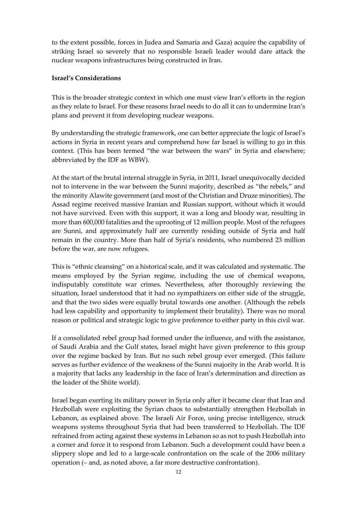to the extent possible, forces in Judea and Samaria and Gaza) acquire the capability of striking Israel so severely that no responsible Israeli leader would dare attack the nuclear weapons infrastructures being constructed in Iran.

#### **Israel's Considerations**

This is the broader strategic context in which one must view Iran's efforts in the region as they relate to Israel. For these reasons Israel needs to do all it can to undermine Iran's plans and prevent it from developing nuclear weapons.

By understanding the strategic framework, one can better appreciate the logic of Israel's actions in Syria in recent years and comprehend how far Israel is willing to go in this context. (This has been termed "the war between the wars" in Syria and elsewhere; abbreviated by the IDF as WBW).

At the start of the brutal internal struggle in Syria, in 2011, Israel unequivocally decided not to intervene in the war between the Sunni majority, described as "the rebels," and the minority Alawite government (and most of the Christian and Druze minorities). The Assad regime received massive Iranian and Russian support, without which it would not have survived. Even with this support, it was a long and bloody war, resulting in more than 600,000 fatalities and the uprooting of 12 million people. Most of the refugees are Sunni, and approximately half are currently residing outside of Syria and half remain in the country. More than half of Syria's residents, who numbered 23 million before the war, are now refugees.

This is "ethnic cleansing" on a historical scale, and it was calculated and systematic. The means employed by the Syrian regime, including the use of chemical weapons, indisputably constitute war crimes. Nevertheless, after thoroughly reviewing the situation, Israel understood that it had no sympathizers on either side of the struggle, and that the two sides were equally brutal towards one another. (Although the rebels had less capability and opportunity to implement their brutality). There was no moral reason or political and strategic logic to give preference to either party in this civil war.

If a consolidated rebel group had formed under the influence, and with the assistance, of Saudi Arabia and the Gulf states, Israel might have given preference to this group over the regime backed by Iran. But no such rebel group ever emerged. (This failure serves as further evidence of the weakness of the Sunni majority in the Arab world. It is a majority that lacks any leadership in the face of Iran's determination and direction as the leader of the Shiite world).

Israel began exerting its military power in Syria only after it became clear that Iran and Hezbollah were exploiting the Syrian chaos to substantially strengthen Hezbollah in Lebanon, as explained above. The Israeli Air Force, using precise intelligence, struck weapons systems throughout Syria that had been transferred to Hezbollah. The IDF refrained from acting against these systems in Lebanon so as not to push Hezbollah into a corner and force it to respond from Lebanon. Such a development could have been a slippery slope and led to a large-scale confrontation on the scale of the 2006 military operation (– and, as noted above, a far more destructive confrontation).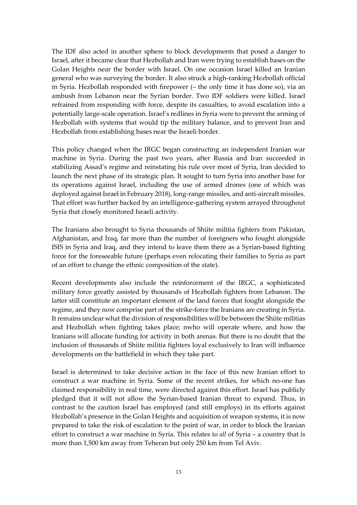The IDF also acted in another sphere to block developments that posed a danger to Israel, after it became clear that Hezbollah and Iran were trying to establish bases on the Golan Heights near the border with Israel. On one occasion Israel killed an Iranian general who was surveying the border. It also struck a high-ranking Hezbollah official in Syria. Hezbollah responded with firepower (– the only time it has done so), via an ambush from Lebanon near the Syrian border. Two IDF soldiers were killed. Israel refrained from responding with force, despite its casualties, to avoid escalation into a potentially large-scale operation. Israel's redlines in Syria were to prevent the arming of Hezbollah with systems that would tip the military balance, and to prevent Iran and Hezbollah from establishing bases near the Israeli border.

This policy changed when the IRGC began constructing an independent Iranian war machine in Syria. During the past two years, after Russia and Iran succeeded in stabilizing Assad's regime and reinstating his rule over most of Syria, Iran decided to launch the next phase of its strategic plan. It sought to turn Syria into another base for its operations against Israel, including the use of armed drones (one of which was deployed against Israel in February 2018), long-range missiles, and anti-aircraft missiles. That effort was further backed by an intelligence-gathering system arrayed throughout Syria that closely monitored Israeli activity.

The Iranians also brought to Syria thousands of Shiite militia fighters from Pakistan, Afghanistan, and Iraq, far more than the number of foreigners who fought alongside ISIS in Syria and Iraq, and they intend to leave them there as a Syrian-based fighting force for the foreseeable future (perhaps even relocating their families to Syria as part of an effort to change the ethnic composition of the state).

Recent developments also include the reinforcement of the IRGC, a sophisticated military force greatly assisted by thousands of Hezbollah fighters from Lebanon. The latter still constitute an important element of the land forces that fought alongside the regime, and they now comprise part of the strike-force the Iranians are creating in Syria. It remains unclear what the division of responsibilities will be between the Shiite militias and Hezbollah when fighting takes place; nwho will operate where, and how the Iranians will allocate funding for activity in both arenas. But there is no doubt that the inclusion of thousands of Shiite militia fighters loyal exclusively to Iran will influence developments on the battlefield in which they take part.

Israel is determined to take decisive action in the face of this new Iranian effort to construct a war machine in Syria. Some of the recent strikes, for which no-one has claimed responsibility in real time, were directed against this effort. Israel has publicly pledged that it will not allow the Syrian-based Iranian threat to expand. Thus, in contrast to the caution Israel has employed (and still employs) in its efforts against Hezbollah's presence in the Golan Heights and acquisition of weapon systems, it is now prepared to take the risk of escalation to the point of war, in order to block the Iranian effort to construct a war machine in Syria. This relates to *all* of Syria – a country that is more than 1,500 km away from Teheran but only 250 km from Tel Aviv.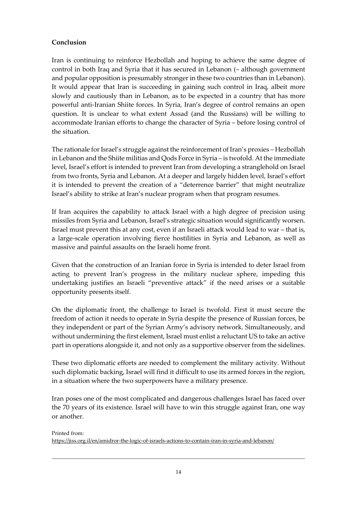## **Conclusion**

Iran is continuing to reinforce Hezbollah and hoping to achieve the same degree of control in both Iraq and Syria that it has secured in Lebanon (– although government and popular opposition is presumably stronger in these two countries than in Lebanon). It would appear that Iran is succeeding in gaining such control in Iraq, albeit more slowly and cautiously than in Lebanon, as to be expected in a country that has more powerful anti-Iranian Shiite forces. In Syria, Iran's degree of control remains an open question. It is unclear to what extent Assad (and the Russians) will be willing to accommodate Iranian efforts to change the character of Syria – before losing control of the situation.

The rationale for Israel's struggle against the reinforcement of Iran's proxies - Hezbollah in Lebanon and the Shiite militias and Qods Force in Syria – is twofold. At the immediate level, Israel's effort is intended to prevent Iran from developing a stranglehold on Israel from two fronts, Syria and Lebanon. At a deeper and largely hidden level, Israel's effort it is intended to prevent the creation of a "deterrence barrier" that might neutralize Israel's ability to strike at Iran's nuclear program when that program resumes.

If Iran acquires the capability to attack Israel with a high degree of precision using missiles from Syria and Lebanon, Israel's strategic situation would significantly worsen. Israel must prevent this at any cost, even if an Israeli attack would lead to war – that is, a large-scale operation involving fierce hostilities in Syria and Lebanon, as well as massive and painful assaults on the Israeli home front.

Given that the construction of an Iranian force in Syria is intended to deter Israel from acting to prevent Iran's progress in the military nuclear sphere, impeding this undertaking justifies an Israeli "preventive attack" if the need arises or a suitable opportunity presents itself.

On the diplomatic front, the challenge to Israel is twofold. First it must secure the freedom of action it needs to operate in Syria despite the presence of Russian forces, be they independent or part of the Syrian Army's advisory network. Simultaneously, and without undermining the first element, Israel must enlist a reluctant US to take an active part in operations alongside it, and not only as a supportive observer from the sidelines.

These two diplomatic efforts are needed to complement the military activity. Without such diplomatic backing, Israel will find it difficult to use its armed forces in the region, in a situation where the two superpowers have a military presence.

Iran poses one of the most complicated and dangerous challenges Israel has faced over the 70 years of its existence. Israel will have to win this struggle against Iran, one way or another.

Printed from: <https://jiss.org.il/en/amidror-the-logic-of-israels-actions-to-contain-iran-in-syria-and-lebanon/>